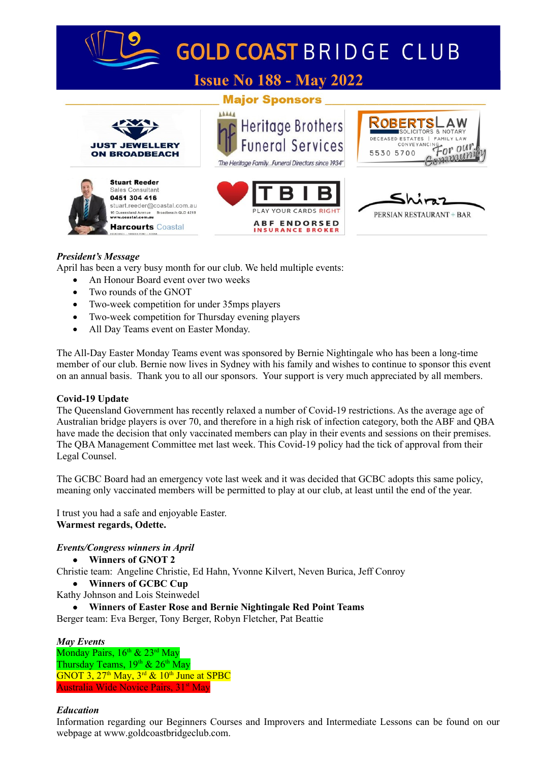

## *President's Message*

April has been a very busy month for our club. We held multiple events:

- An Honour Board event over two weeks
- Two rounds of the GNOT
- Two-week competition for under 35mps players
- Two-week competition for Thursday evening players
- All Day Teams event on Easter Monday.

The All-Day Easter Monday Teams event was sponsored by Bernie Nightingale who has been a long-time member of our club. Bernie now lives in Sydney with his family and wishes to continue to sponsor this event on an annual basis. Thank you to all our sponsors. Your support is very much appreciated by all members.

## **Covid-19 Update**

The Queensland Government has recently relaxed a number of Covid-19 restrictions. As the average age of Australian bridge players is over 70, and therefore in a high risk of infection category, both the ABF and QBA have made the decision that only vaccinated members can play in their events and sessions on their premises. The QBA Management Committee met last week. This Covid-19 policy had the tick of approval from their Legal Counsel.

The GCBC Board had an emergency vote last week and it was decided that GCBC adopts this same policy, meaning only vaccinated members will be permitted to play at our club, at least until the end of the year.

I trust you had a safe and enjoyable Easter. **Warmest regards, Odette.**

## *Events/Congress winners in April*

**Winners of GNOT 2**

Christie team: Angeline Christie, Ed Hahn, Yvonne Kilvert, Neven Burica, Jeff Conroy

- **Winners of GCBC Cup**
- Kathy Johnson and Lois Steinwedel
	- **Winners of Easter Rose and Bernie Nightingale Red Point Teams**

Berger team: Eva Berger, Tony Berger, Robyn Fletcher, Pat Beattie

## *May Events*

Monday Pairs,  $16^{th}$  &  $23^{rd}$  May Thursday Teams,  $19^{th}$  &  $26^{th}$  May GNOT  $3, 27<sup>th</sup>$  May,  $3<sup>rd</sup>$  &  $10<sup>th</sup>$  June at SPBC Australia Wide Novice Pairs, 31<sup>st</sup> May

## *Education*

Information regarding our Beginners Courses and Improvers and Intermediate Lessons can be found on our webpage at www.goldcoastbridgeclub.com.